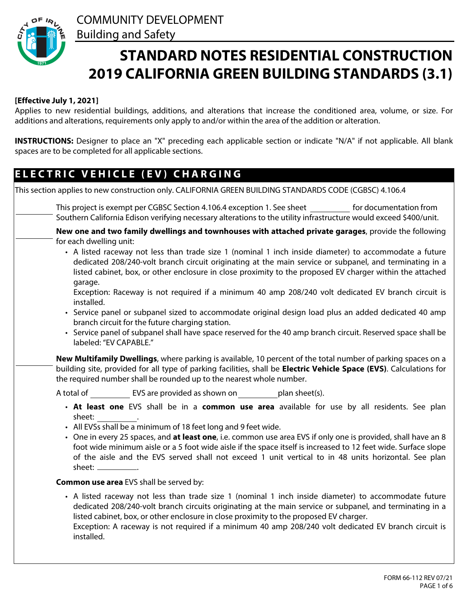

# **STANDARD NOTES RESIDENTIAL CONSTRUCTION 2019 CALIFORNIA GREEN BUILDING STANDARDS (3.1)**

### **[Effective July 1, 2021]**

Applies to new residential buildings, additions, and alterations that increase the conditioned area, volume, or size. For additions and alterations, requirements only apply to and/or within the area of the addition or alteration.

**INSTRUCTIONS:** Designer to place an "X" preceding each applicable section or indicate "N/A" if not applicable. All blank spaces are to be completed for all applicable sections.

### **E L E C T R I C V E H I C L E ( E V ) C H A R G I N G**

| This section applies to new construction only. CALIFORNIA GREEN BUILDING STANDARDS CODE (CGBSC) 4.106.4                                                                                                                                                                                                                                                                                                                                                                                                                                                                                                                                                                                                                                                                                                                                                                                               |
|-------------------------------------------------------------------------------------------------------------------------------------------------------------------------------------------------------------------------------------------------------------------------------------------------------------------------------------------------------------------------------------------------------------------------------------------------------------------------------------------------------------------------------------------------------------------------------------------------------------------------------------------------------------------------------------------------------------------------------------------------------------------------------------------------------------------------------------------------------------------------------------------------------|
| This project is exempt per CGBSC Section 4.106.4 exception 1. See sheet<br>for documentation from<br>Southern California Edison verifying necessary alterations to the utility infrastructure would exceed \$400/unit.                                                                                                                                                                                                                                                                                                                                                                                                                                                                                                                                                                                                                                                                                |
| New one and two family dwellings and townhouses with attached private garages, provide the following<br>for each dwelling unit:<br>• A listed raceway not less than trade size 1 (nominal 1 inch inside diameter) to accommodate a future<br>dedicated 208/240-volt branch circuit originating at the main service or subpanel, and terminating in a<br>listed cabinet, box, or other enclosure in close proximity to the proposed EV charger within the attached<br>garage.<br>Exception: Raceway is not required if a minimum 40 amp 208/240 volt dedicated EV branch circuit is<br>installed.<br>• Service panel or subpanel sized to accommodate original design load plus an added dedicated 40 amp<br>branch circuit for the future charging station.<br>• Service panel of subpanel shall have space reserved for the 40 amp branch circuit. Reserved space shall be<br>labeled: "EV CAPABLE." |
| New Multifamily Dwellings, where parking is available, 10 percent of the total number of parking spaces on a<br>$\blacktriangledown$<br>building site, provided for all type of parking facilities, shall be Electric Vehicle Space (EVS). Calculations for<br>the required number shall be rounded up to the nearest whole number.                                                                                                                                                                                                                                                                                                                                                                                                                                                                                                                                                                   |
| A total of EVS are provided as shown on plan sheet(s).                                                                                                                                                                                                                                                                                                                                                                                                                                                                                                                                                                                                                                                                                                                                                                                                                                                |
| • At least one EVS shall be in a common use area available for use by all residents. See plan<br>sheet:<br>• All EVSs shall be a minimum of 18 feet long and 9 feet wide.<br>• One in every 25 spaces, and at least one, i.e. common use area EVS if only one is provided, shall have an 8<br>foot wide minimum aisle or a 5 foot wide aisle if the space itself is increased to 12 feet wide. Surface slope<br>of the aisle and the EVS served shall not exceed 1 unit vertical to in 48 units horizontal. See plan<br>sheet: _____________.                                                                                                                                                                                                                                                                                                                                                         |
| <b>Common use area EVS shall be served by:</b>                                                                                                                                                                                                                                                                                                                                                                                                                                                                                                                                                                                                                                                                                                                                                                                                                                                        |
| • A listed raceway not less than trade size 1 (nominal 1 inch inside diameter) to accommodate future<br>dedicated 208/240-volt branch circuits originating at the main service or subpanel, and terminating in a<br>listed cabinet, box, or other enclosure in close proximity to the proposed EV charger.<br>Exception: A raceway is not required if a minimum 40 amp 208/240 volt dedicated EV branch circuit is<br>installed.                                                                                                                                                                                                                                                                                                                                                                                                                                                                      |
|                                                                                                                                                                                                                                                                                                                                                                                                                                                                                                                                                                                                                                                                                                                                                                                                                                                                                                       |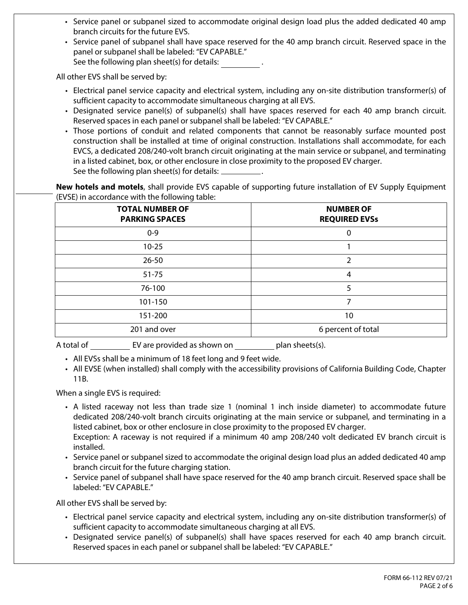- Service panel or subpanel sized to accommodate original design load plus the added dedicated 40 amp branch circuits for the future EVS.
- Service panel of subpanel shall have space reserved for the 40 amp branch circuit. Reserved space in the panel or subpanel shall be labeled: "EV CAPABLE." See the following plan sheet(s) for details:

All other EVS shall be served by:

- Electrical panel service capacity and electrical system, including any on-site distribution transformer(s) of sufficient capacity to accommodate simultaneous charging at all EVS.
- Designated service panel(s) of subpanel(s) shall have spaces reserved for each 40 amp branch circuit. Reserved spaces in each panel or subpanel shall be labeled: "EV CAPABLE."
- Those portions of conduit and related components that cannot be reasonably surface mounted post construction shall be installed at time of original construction. Installations shall accommodate, for each EVCS, a dedicated 208/240-volt branch circuit originating at the main service or subpanel, and terminating in a listed cabinet, box, or other enclosure in close proximity to the proposed EV charger. See the following plan sheet(s) for details:  $\overline{\phantom{a}}$

**New hotels and motels**, shall provide EVS capable of supporting future installation of EV Supply Equipment (EVSE) in accordance with the following table:

| <b>TOTAL NUMBER OF</b><br><b>PARKING SPACES</b> | <b>NUMBER OF</b><br><b>REQUIRED EVSs</b> |
|-------------------------------------------------|------------------------------------------|
| $0 - 9$                                         | 0                                        |
| $10 - 25$                                       |                                          |
| $26 - 50$                                       | 2                                        |
| $51 - 75$                                       | 4                                        |
| 76-100                                          | 5                                        |
| 101-150                                         | 7                                        |
| 151-200                                         | 10                                       |
| 201 and over                                    | 6 percent of total                       |

A total of EV are provided as shown on plan sheets(s).

- All EVSs shall be a minimum of 18 feet long and 9 feet wide.
- All EVSE (when installed) shall comply with the accessibility provisions of California Building Code, Chapter 11B.

When a single EVS is required:

- A listed raceway not less than trade size 1 (nominal 1 inch inside diameter) to accommodate future dedicated 208/240-volt branch circuits originating at the main service or subpanel, and terminating in a listed cabinet, box or other enclosure in close proximity to the proposed EV charger. Exception: A raceway is not required if a minimum 40 amp 208/240 volt dedicated EV branch circuit is
- Service panel or subpanel sized to accommodate the original design load plus an added dedicated 40 amp installed. branch circuit for the future charging station.
- Service panel of subpanel shall have space reserved for the 40 amp branch circuit. Reserved space shall be labeled: "EV CAPABLE."

All other EVS shall be served by:

- Electrical panel service capacity and electrical system, including any on-site distribution transformer(s) of sufficient capacity to accommodate simultaneous charging at all EVS.
- Designated service panel(s) of subpanel(s) shall have spaces reserved for each 40 amp branch circuit. Reserved spaces in each panel or subpanel shall be labeled: "EV CAPABLE."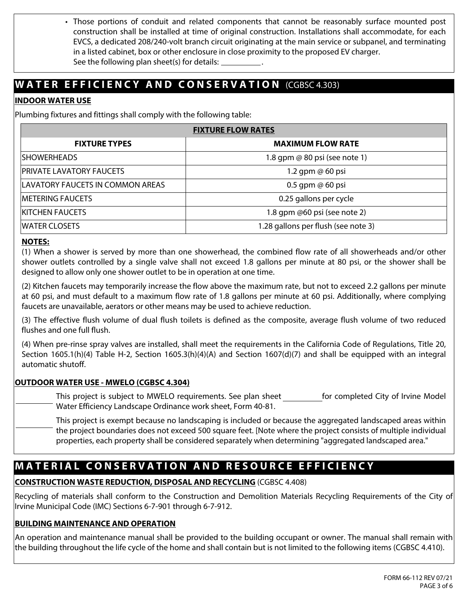• Those portions of conduit and related components that cannot be reasonably surface mounted post construction shall be installed at time of original construction. Installations shall accommodate, for each EVCS, a dedicated 208/240-volt branch circuit originating at the main service or subpanel, and terminating in a listed cabinet, box or other enclosure in close proximity to the proposed EV charger. See the following plan sheet(s) for details:

# **WATER EFFICIENCY AND CONSERVATION** (CGBSC 4.303)

### **INDOOR WATER USE**

Plumbing fixtures and fittings shall comply with the following table:

| <b>FIXTURE FLOW RATES</b>        |                                     |  |  |  |  |  |  |
|----------------------------------|-------------------------------------|--|--|--|--|--|--|
| <b>FIXTURE TYPES</b>             | <b>MAXIMUM FLOW RATE</b>            |  |  |  |  |  |  |
| ISHOWERHEADS                     | 1.8 gpm @ 80 psi (see note 1)       |  |  |  |  |  |  |
| <b>PRIVATE LAVATORY FAUCETS</b>  | 1.2 gpm $@$ 60 psi                  |  |  |  |  |  |  |
| LAVATORY FAUCETS IN COMMON AREAS | $0.5$ gpm $\omega$ 60 psi           |  |  |  |  |  |  |
| <b>IMETERING FAUCETS</b>         | 0.25 gallons per cycle              |  |  |  |  |  |  |
| <b>KITCHEN FAUCETS</b>           | 1.8 gpm $@60$ psi (see note 2)      |  |  |  |  |  |  |
| <b>IWATER CLOSETS</b>            | 1.28 gallons per flush (see note 3) |  |  |  |  |  |  |

### **NOTES:**

(1) When a shower is served by more than one showerhead, the combined flow rate of all showerheads and/or other shower outlets controlled by a single valve shall not exceed 1.8 gallons per minute at 80 psi, or the shower shall be designed to allow only one shower outlet to be in operation at one time.

(2) Kitchen faucets may temporarily increase the flow above the maximum rate, but not to exceed 2.2 gallons per minute at 60 psi, and must default to a maximum flow rate of 1.8 gallons per minute at 60 psi. Additionally, where complying faucets are unavailable, aerators or other means may be used to achieve reduction.

(3) The effective flush volume of dual flush toilets is defined as the composite, average flush volume of two reduced flushes and one full flush.

(4) When pre-rinse spray valves are installed, shall meet the requirements in the California Code of Regulations, Title 20, Section 1605.1(h)(4) Table H-2, Section 1605.3(h)(4)(A) and Section 1607(d)(7) and shall be equipped with an integral automatic shutoff.

### **OUTDOOR WATER USE - MWELO (CGBSC 4.304)**

This project is subject to MWELO requirements. See plan sheet  $\Box$  for completed City of Irvine Model Water Efficiency Landscape Ordinance work sheet, Form 40-81.

 $\blacktriangleright$  This project is exempt because no landscaping is included or because the aggregated landscaped areas within the project boundaries does not exceed 500 square feet. [Note where the project consists of multiple individual properties, each property shall be considered separately when determining "aggregated landscaped area."

# **MATERIAL CONSERVATION AND RESOURCE EFFICIENCY**

### **CONSTRUCTION WASTE REDUCTION, DISPOSAL AND RECYCLING** (CGBSC 4.408)

Recycling of materials shall conform to the Construction and Demolition Materials Recycling Requirements of the City of Irvine Municipal Code (IMC) Sections 6-7-901 through 6-7-912.

### **BUILDING MAINTENANCE AND OPERATION**

An operation and maintenance manual shall be provided to the building occupant or owner. The manual shall remain with the building throughout the life cycle of the home and shall contain but is not limited to the following items (CGBSC 4.410).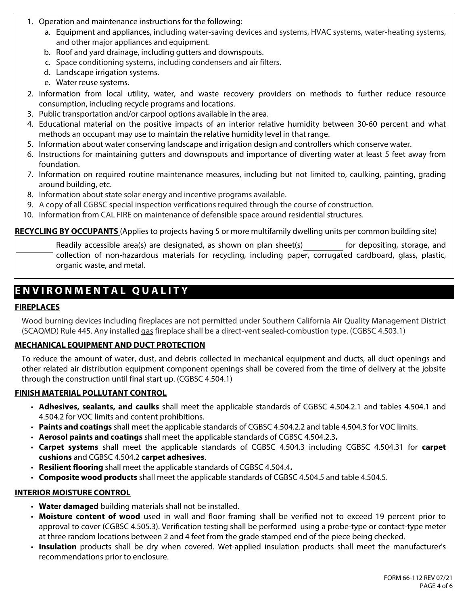- 1. Operation and maintenance instructions for the following:
	- a. Equipment and appliances, including water-saving devices and systems, HVAC systems, water-heating systems, and other major appliances and equipment.
	- b. Roof and yard drainage, including gutters and downspouts.
	- c. Space conditioning systems, including condensers and air filters.
	- d. Landscape irrigation systems.
	- e. Water reuse systems.
- 2. Information from local utility, water, and waste recovery providers on methods to further reduce resource consumption, including recycle programs and locations.
- 3. Public transportation and/or carpool options available in the area.
- 4. Educational material on the positive impacts of an interior relative humidity between 30-60 percent and what methods an occupant may use to maintain the relative humidity level in that range.
- 5. Information about water conserving landscape and irrigation design and controllers which conserve water.
- 6. Instructions for maintaining gutters and downspouts and importance of diverting water at least 5 feet away from foundation.
- 7. Information on required routine maintenance measures, including but not limited to, caulking, painting, grading around building, etc.
- 8. Information about state solar energy and incentive programs available.
- 9. A copy of all CGBSC special inspection verifications required through the course of construction.
- 10. Information from CAL FIRE on maintenance of defensible space around residential structures.

**RECYCLING BY OCCUPANTS** (Applies to projects having 5 or more multifamily dwelling units per common building site)

Readily accessible area(s) are designated, as shown on plan sheet(s) for depositing, storage, and collection of non-hazardous materials for recycling, including paper, corrugated cardboard, glass, plastic, organic waste, and metal.

# **E N V I R O N M E N T A L Q U A L I T Y**

#### **FIREPLACES**

Wood burning devices including fireplaces are not permitted under Southern California Air Quality Management District (SCAQMD) Rule 445. Any installed gas fireplace shall be a direct-vent sealed-combustion type. (CGBSC 4.503.1)

### **MECHANICAL EQUIPMENT AND DUCT PROTECTION**

To reduce the amount of water, dust, and debris collected in mechanical equipment and ducts, all duct openings and other related air distribution equipment component openings shall be covered from the time of delivery at the jobsite through the construction until final start up. (CGBSC 4.504.1)

#### **FINISH MATERIAL POLLUTANT CONTROL**

- **Adhesives, sealants, and caulks** shall meet the applicable standards of CGBSC 4.504.2.1 and tables 4.504.1 and 4.504.2 for VOC limits and content prohibitions.
- **Paints and coatings** shall meet the applicable standards of CGBSC 4.504.2.2 and table 4.504.3 for VOC limits.
- **Aerosol paints and coatings** shall meet the applicable standards of CGBSC 4.504.2.3**.**
- **Carpet systems** shall meet the applicable standards of CGBSC 4.504.3 including CGBSC 4.504.31 for **carpet cushions** and CGBSC 4.504.2 **carpet adhesives**.
- **Resilient flooring** shall meet the applicable standards of CGBSC 4.504.4**.**
- **Composite wood products** shall meet the applicable standards of CGBSC 4.504.5 and table 4.504.5.

#### **INTERIOR MOISTURE CONTROL**

- **Water damaged** building materials shall not be installed.
- **Moisture content of wood** used in wall and floor framing shall be verified not to exceed 19 percent prior to approval to cover (CGBSC 4.505.3). Verification testing shall be performed using a probe-type or contact-type meter at three random locations between 2 and 4 feet from the grade stamped end of the piece being checked.
- **Insulation** products shall be dry when covered. Wet-applied insulation products shall meet the manufacturer's recommendations prior to enclosure.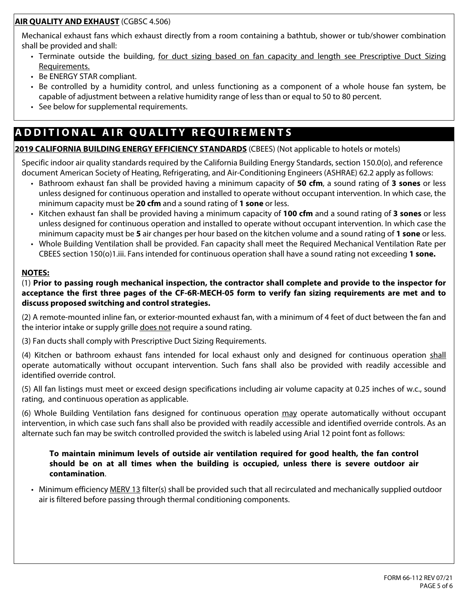### **AIR QUALITY AND EXHAUST** (CGBSC 4.506)

Mechanical exhaust fans which exhaust directly from a room containing a bathtub, shower or tub/shower combination shall be provided and shall:

- Terminate outside the building, for duct sizing based on fan capacity and length see Prescriptive Duct Sizing Requirements.
- Be ENERGY STAR compliant.
- Be controlled by a humidity control, and unless functioning as a component of a whole house fan system, be capable of adjustment between a relative humidity range of less than or equal to 50 to 80 percent.
- See below for supplemental requirements.

# **A D D I T I O N A L A I R Q U A L I T Y R E Q U I R E M E N T S**

### **2019 CALIFORNIA BUILDING ENERGY EFFICIENCY STANDARDS** (CBEES) (Not applicable to hotels or motels)

Specific indoor air quality standards required by the California Building Energy Standards, section 150.0(o), and reference document American Society of Heating, Refrigerating, and Air-Conditioning Engineers (ASHRAE) 62.2 apply as follows:

- Bathroom exhaust fan shall be provided having a minimum capacity of **50 cfm**, a sound rating of **3 sones** or less unless designed for continuous operation and installed to operate without occupant intervention. In which case, the minimum capacity must be **20 cfm** and a sound rating of **1 sone** or less.
- Kitchen exhaust fan shall be provided having a minimum capacity of **100 cfm** and a sound rating of **3 sones** or less unless designed for continuous operation and installed to operate without occupant intervention. In which case the minimum capacity must be **5** air changes per hour based on the kitchen volume and a sound rating of **1 sone** or less.
- Whole Building Ventilation shall be provided. Fan capacity shall meet the Required Mechanical Ventilation Rate per CBEES section 150(o)1.iii. Fans intended for continuous operation shall have a sound rating not exceeding **1 sone.**

### **NOTES:**

(1) **Prior to passing rough mechanical inspection, the contractor shall complete and provide to the inspector for acceptance the first three pages of the CF-6R-MECH-05 form to verify fan sizing requirements are met and to discuss proposed switching and control strategies.**

(2) A remote-mounted inline fan, or exterior-mounted exhaust fan, with a minimum of 4 feet of duct between the fan and the interior intake or supply grille does not require a sound rating.

(3) Fan ducts shall comply with Prescriptive Duct Sizing Requirements.

(4) Kitchen or bathroom exhaust fans intended for local exhaust only and designed for continuous operation shall operate automatically without occupant intervention. Such fans shall also be provided with readily accessible and identified override control.

(5) All fan listings must meet or exceed design specifications including air volume capacity at 0.25 inches of w.c., sound rating, and continuous operation as applicable.

(6) Whole Building Ventilation fans designed for continuous operation may operate automatically without occupant intervention, in which case such fans shall also be provided with readily accessible and identified override controls. As an alternate such fan may be switch controlled provided the switch is labeled using Arial 12 point font as follows:

#### **To maintain minimum levels of outside air ventilation required for good health, the fan control should be on at all times when the building is occupied, unless there is severe outdoor air contamination**.

• Minimum efficiency MERV 13 filter(s) shall be provided such that all recirculated and mechanically supplied outdoor air is filtered before passing through thermal conditioning components.